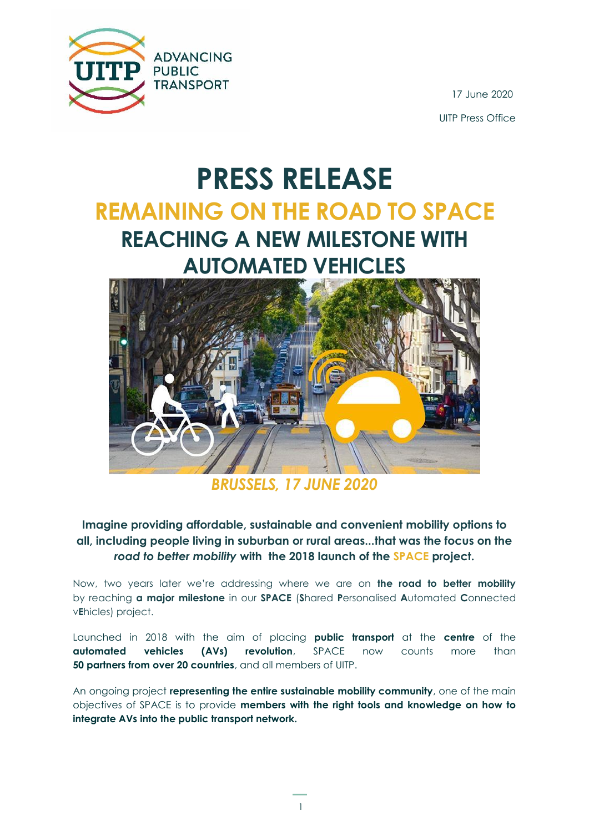

17 June 2020 UITP Press Office

# **PRESS RELEASE REMAINING ON THE ROAD TO SPACE REACHING A NEW MILESTONE WITH AUTOMATED VEHICLES**



*BRUSSELS, 17 JUNE 2020* 

#### **Imagine providing affordable, sustainable and convenient mobility options to all, including people living in suburban or rural areas...that was the focus on the**  *road to better mobility* **with the 2018 launch of the SPACE project.**

Now, two years later we're addressing where we are on **the road to better mobility** by reaching **a major milestone** in our **SPACE** (**S**hared **P**ersonalised **A**utomated **C**onnected v**E**hicles) project.

Launched in 2018 with the aim of placing **public transport** at the **centre** of the **automated vehicles (AVs) revolution**, SPACE now counts more than **50 partners from over 20 countries**, and all members of UITP.

An ongoing project **representing the entire sustainable mobility community**, one of the main objectives of SPACE is to provide **members with the right tools and knowledge on how to integrate AVs into the public transport network.**

1